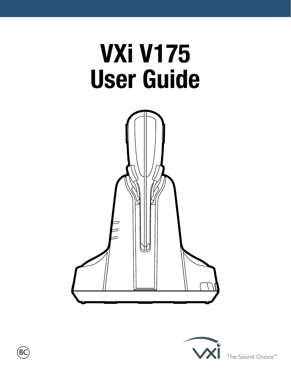# **VXi V175 User Guide**





The Sound Choice<sup>™</sup>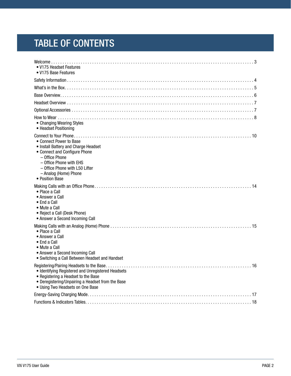# TABLE OF CONTENTS

| • V175 Headset Features<br>• V175 Base Features                                                                                                                                                                             |
|-----------------------------------------------------------------------------------------------------------------------------------------------------------------------------------------------------------------------------|
|                                                                                                                                                                                                                             |
|                                                                                                                                                                                                                             |
|                                                                                                                                                                                                                             |
|                                                                                                                                                                                                                             |
|                                                                                                                                                                                                                             |
| • Changing Wearing Styles<br>• Headset Positioning                                                                                                                                                                          |
| • Connect Power to Base<br>• Install Battery and Charge Headset<br>• Connect and Configure Phone<br>- Office Phone<br>- Office Phone with EHS<br>- Office Phone with L50 Lifter<br>- Analog (Home) Phone<br>• Position Base |
| • Place a Call<br>• Answer a Call<br>$\bullet$ End a Call<br>• Mute a Call<br>• Reject a Call (Desk Phone)<br>• Answer a Second Incoming Call                                                                               |
| • Place a Call<br>• Answer a Call<br>• End a Call<br>• Mute a Call<br>• Answer a Second Incoming Call<br>• Switching a Call Between Headset and Handset                                                                     |
| • Identifying Registered and Unregistered Headsets<br>• Registering a Headset to the Base<br>• Deregistering/Unpairing a Headset from the Base<br>• Using Two Headsets on One Base                                          |
|                                                                                                                                                                                                                             |
|                                                                                                                                                                                                                             |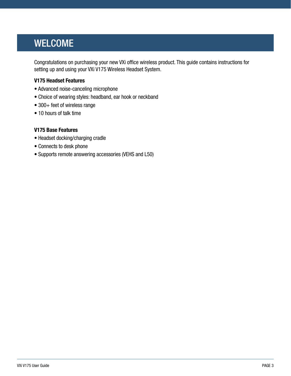# <span id="page-2-0"></span>**WELCOME**

Congratulations on purchasing your new VXi office wireless product. This guide contains instructions for setting up and using your VXi V175 Wireless Headset System.

#### **V175 Headset Features**

- Advanced noise-canceling microphone
- Choice of wearing styles: headband, ear hook or neckband
- 300+ feet of wireless range
- 10 hours of talk time

#### **V175 Base Features**

- Headset docking/charging cradle
- Connects to desk phone
- Supports remote answering accessories (VEHS and L50)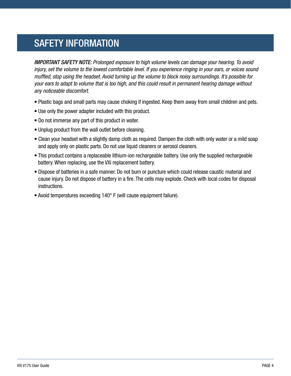# <span id="page-3-0"></span>SAFETY INFORMATION

*IMPORTANT SAFETY NOTE: Prolonged exposure to high volume levels can damage your hearing. To avoid injury, set the volume to the lowest comfortable level. If you experience ringing in your ears, or voices sound muffled, stop using the headset. Avoid turning up the volume to block noisy surroundings. It's possible for your ears to adapt to volume that is too high, and this could result in permanent hearing damage without any noticeable discomfort.*

- Plastic bags and small parts may cause choking if ingested. Keep them away from small children and pets.
- Use only the power adapter included with this product.
- Do not immerse any part of this product in water.
- Unplug product from the wall outlet before cleaning.
- Clean your headset with a slightly damp cloth as required. Dampen the cloth with only water or a mild soap and apply only on plastic parts. Do not use liquid cleaners or aerosol cleaners.
- This product contains a replaceable lithium-ion rechargeable battery. Use only the supplied rechargeable battery. When replacing, use the VXi replacement battery.
- Dispose of batteries in a safe manner. Do not burn or puncture which could release caustic material and cause injury. Do not dispose of battery in a fire. The cells may explode. Check with local codes for disposal instructions.
- Avoid temperatures exceeding 140° F (will cause equipment failure).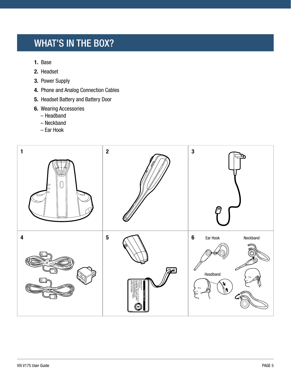# <span id="page-4-0"></span>WHAT'S IN THE BOX?

- **1.** Base
- **2.** Headset
- **3.** Power Supply
- **4.** Phone and Analog Connection Cables
- **5.** Headset Battery and Battery Door
- **6.** Wearing Accessories
	- Headband
	- Neckband
	- Ear Hook

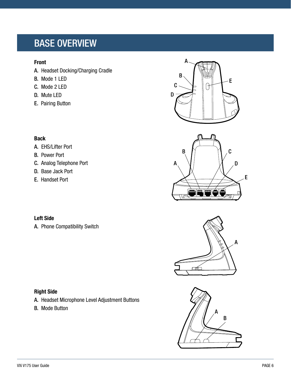# <span id="page-5-0"></span>BASE OVERVIEW

#### **Front**

- A. Headset Docking/Charging Cradle
- B. Mode 1 LED
- C. Mode 2 LED
- D. Mute LED
- E. Pairing Button









#### **Back**

- A. EHS/Lifter Port
- B. Power Port
- C. Analog Telephone Port
- D. Base Jack Port
- E. Handset Port

### **Left Side**

A. Phone Compatibility Switch

### **Right Side**

- A. Headset Microphone Level Adjustment Buttons
- B. Mode Button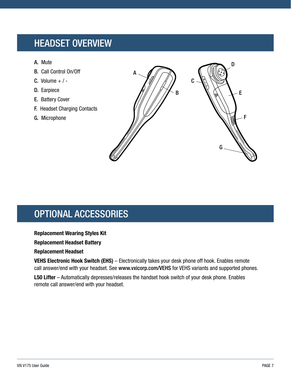# <span id="page-6-0"></span>HEADSET OVERVIEW

- A. Mute
- B. Call Control On/Off
- C. Volume  $+$  / -
- D. Earpiece
- E. Battery Cover
- F. Headset Charging Contacts
- G. Microphone



# <span id="page-6-1"></span>OPTIONAL ACCESSORIES

#### **Replacement Wearing Styles Kit**

#### **Replacement Headset Battery**

#### **Replacement Headset**

**VEHS Electronic Hook Switch (EHS)** – Electronically takes your desk phone off hook. Enables remote call answer/end with your headset. See [www.vxicorp.com/VEHS](http://www.vxicorp.com/VEHS) for VEHS variants and supported phones.

**L50 Lifter** – Automatically depresses/releases the handset hook switch of your desk phone. Enables remote call answer/end with your headset.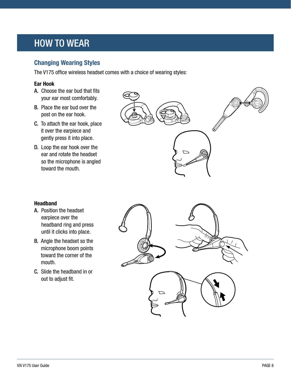# <span id="page-7-0"></span>HOW TO WEAR

### **Changing Wearing Styles**

The V175 office wireless headset comes with a choice of wearing styles:

#### **Ear Hook**

- A. Choose the ear bud that fits your ear most comfortably.
- B. Place the ear bud over the post on the ear hook.
- C. To attach the ear hook, place it over the earpiece and gently press it into place.
- D. Loop the ear hook over the ear and rotate the headset so the microphone is angled toward the mouth.



#### **Headband**

- A. Position the headset earpiece over the headband ring and press until it clicks into place.
- B. Angle the headset so the microphone boom points toward the corner of the mouth.
- C. Slide the headband in or out to adjust fit.

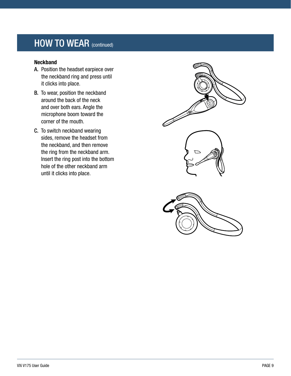# HOW TO WEAR (continued)

#### **Neckband**

- A. Position the headset earpiece over the neckband ring and press until it clicks into place.
- B. To wear, position the neckband around the back of the neck and over both ears. Angle the microphone boom toward the corner of the mouth.
- C. To switch neckband wearing sides, remove the headset from the neckband, and then remove the ring from the neckband arm. Insert the ring post into the bottom hole of the other neckband arm until it clicks into place.

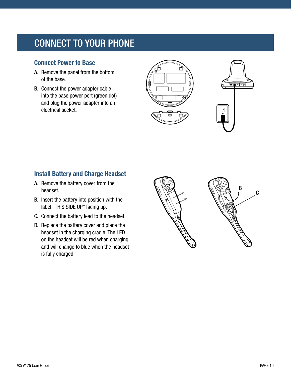# <span id="page-9-0"></span>CONNECT TO YOUR PHONE

### **Connect Power to Base**

- A. Remove the panel from the bottom of the base.
- B. Connect the power adapter cable into the base power port (green dot) and plug the power adapter into an electrical socket.





## **Install Battery and Charge Headset**

- A. Remove the battery cover from the headset.
- B. Insert the battery into position with the label "THIS SIDE UP" facing up.
- C. Connect the battery lead to the headset.
- D. Replace the battery cover and place the headset in the charging cradle. The LED on the headset will be red when charging and will change to blue when the headset is fully charged.

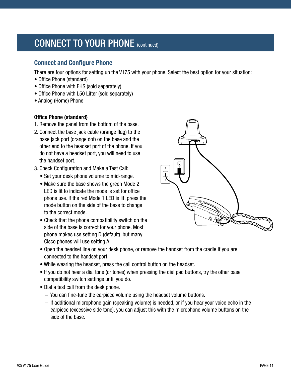# CONNECT TO YOUR PHONE (continued)

### **Connect and Configure Phone**

There are four options for setting up the V175 with your phone. Select the best option for your situation:

- Office Phone (standard)
- Office Phone with EHS (sold separately)
- Office Phone with L50 Lifter (sold separately)
- Analog (Home) Phone

#### **Office Phone (standard)**

- 1. Remove the panel from the bottom of the base.
- 2. Connect the base jack cable (orange flag) to the base jack port (orange dot) on the base and the other end to the headset port of the phone. If you do not have a headset port, you will need to use the handset port.
- 3. Check Configuration and Make a Test Call:
	- Set your desk phone volume to mid-range.
	- Make sure the base shows the green Mode 2 LED is lit to indicate the mode is set for office phone use. If the red Mode 1 LED is lit, press the mode button on the side of the base to change to the correct mode.
	- Check that the phone compatibility switch on the side of the base is correct for your phone. Most phone makes use setting D (default), but many Cisco phones will use setting A.



- Open the headset line on your desk phone, or remove the handset from the cradle if you are connected to the handset port.
- While wearing the headset, press the call control button on the headset.
- If you do not hear a dial tone (or tones) when pressing the dial pad buttons, try the other base compatibility switch settings until you do.
- Dial a test call from the desk phone.
	- You can fine-tune the earpiece volume using the headset volume buttons.
	- If additional microphone gain (speaking volume) is needed, or if you hear your voice echo in the earpiece (excessive side tone), you can adjust this with the microphone volume buttons on the side of the base.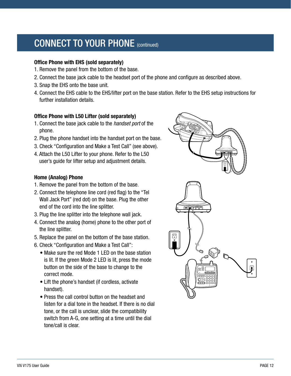# CONNECT TO YOUR PHONE (continued)

#### **Office Phone with EHS (sold separately)**

- 1. Remove the panel from the bottom of the base.
- 2. Connect the base jack cable to the headset port of the phone and configure as described above.
- 3. Snap the EHS onto the base unit.
- 4. Connect the EHS cable to the EHS/lifter port on the base station. Refer to the EHS setup instructions for further installation details.

#### **Office Phone with L50 Lifter (sold separately)**

- 1. Connect the base jack cable to the *handset port* of the phone.
- 2. Plug the phone handset into the handset port on the base.
- 3. Check "Configuration and Make a Test Call" (see above).
- 4. Attach the L50 Lifter to your phone. Refer to the L50 user's guide for lifter setup and adjustment details.

#### **Home (Analog) Phone**

- 1. Remove the panel from the bottom of the base.
- 2. Connect the telephone line cord (red flag) to the "Tel Wall Jack Port" (red dot) on the base. Plug the other end of the cord into the line splitter.
- 3. Plug the line splitter into the telephone wall jack.
- 4. Connect the analog (home) phone to the other port of the line splitter.
- 5. Replace the panel on the bottom of the base station.
- 6. Check "Configuration and Make a Test Call":
	- Make sure the red Mode 1 LED on the base station is lit. If the green Mode 2 LED is lit, press the mode button on the side of the base to change to the correct mode.
	- Lift the phone's handset (if cordless, activate handset).
	- Press the call control button on the headset and listen for a dial tone in the headset. If there is no dial tone, or the call is unclear, slide the compatibility switch from A-G, one setting at a time until the dial tone/call is clear.

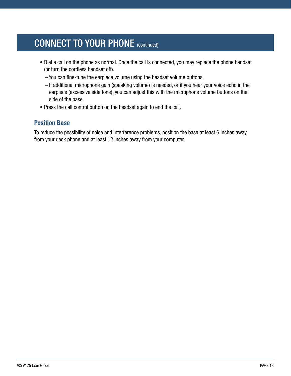# CONNECT TO YOUR PHONE (continued)

- Dial a call on the phone as normal. Once the call is connected, you may replace the phone handset (or turn the cordless handset off).
	- You can fine-tune the earpiece volume using the headset volume buttons.
	- If additional microphone gain (speaking volume) is needed, or if you hear your voice echo in the earpiece (excessive side tone), you can adjust this with the microphone volume buttons on the side of the base.
- Press the call control button on the headset again to end the call.

### **Position Base**

To reduce the possibility of noise and interference problems, position the base at least 6 inches away from your desk phone and at least 12 inches away from your computer.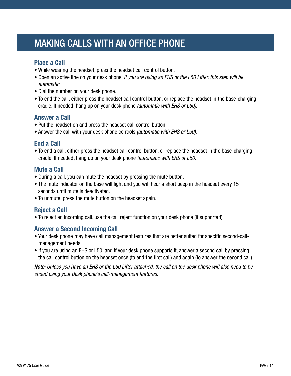# <span id="page-13-0"></span>MAKING CALLS WITH AN OFFICE PHONE

### **Place a Call**

- While wearing the headset, press the headset call control button.
- Open an active line on your desk phone. *If you are using an EHS or the L50 Lifter, this step will be automatic.*
- Dial the number on your desk phone.
- To end the call, either press the headset call control button, or replace the headset in the base-charging cradle. If needed, hang up on your desk phone *(automatic with EHS or L50)*.

### **Answer a Call**

- Put the headset on and press the headset call control button.
- Answer the call with your desk phone controls *(automatic with EHS or L50)*.

### **End a Call**

• To end a call, either press the headset call control button, or replace the headset in the base-charging cradle. If needed, hang up on your desk phone *(automatic with EHS or L50).*

### **Mute a Call**

- During a call, you can mute the headset by pressing the mute button.
- The mute indicator on the base will light and you will hear a short beep in the headset every 15 seconds until mute is deactivated.
- To unmute, press the mute button on the headset again.

### **Reject a Call**

• To reject an incoming call, use the call reject function on your desk phone (if supported).

### **Answer a Second Incoming Call**

- Your desk phone may have call management features that are better suited for specific second-callmanagement needs.
- If you are using an EHS or L50, and if your desk phone supports it, answer a second call by pressing the call control button on the headset once (to end the first call) and again (to answer the second call).

*Note: Unless you have an EHS or the L50 Lifter attached, the call on the desk phone will also need to be ended using your desk phone's call-management features.*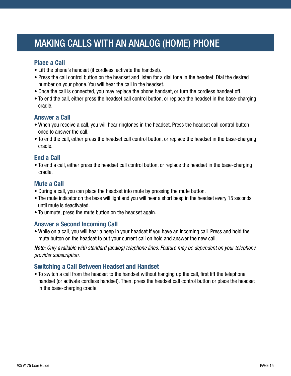# <span id="page-14-0"></span>MAKING CALLS WITH AN ANALOG (HOME) PHONE

#### **Place a Call**

- Lift the phone's handset (if cordless, activate the handset).
- Press the call control button on the headset and listen for a dial tone in the headset. Dial the desired number on your phone. You will hear the call in the headset.
- Once the call is connected, you may replace the phone handset, or turn the cordless handset off.
- To end the call, either press the headset call control button, or replace the headset in the base-charging cradle.

#### **Answer a Call**

- When you receive a call, you will hear ringtones in the headset. Press the headset call control button once to answer the call.
- To end the call, either press the headset call control button, or replace the headset in the base-charging cradle.

### **End a Call**

• To end a call, either press the headset call control button, or replace the headset in the base-charging cradle.

### **Mute a Call**

- During a call, you can place the headset into mute by pressing the mute button.
- The mute indicator on the base will light and you will hear a short beep in the headset every 15 seconds until mute is deactivated.
- To unmute, press the mute button on the headset again.

### **Answer a Second Incoming Call**

• While on a call, you will hear a beep in your headset if you have an incoming call. Press and hold the mute button on the headset to put your current call on hold and answer the new call.

*Note: Only available with standard (analog) telephone lines. Feature may be dependent on your telephone provider subscription.*

### **Switching a Call Between Headset and Handset**

• To switch a call from the headset to the handset without hanging up the call, first lift the telephone handset (or activate cordless handset). Then, press the headset call control button or place the headset in the base-charging cradle.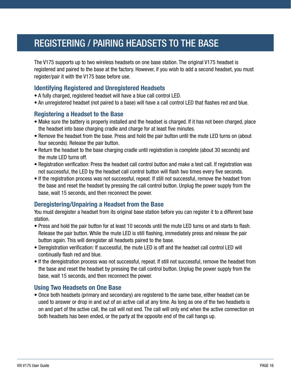# <span id="page-15-0"></span>REGISTERING / PAIRING HEADSETS TO THE BASE

The V175 supports up to two wireless headsets on one base station. The original V175 headset is registered and paired to the base at the factory. However, if you wish to add a second headset, you must register/pair it with the V175 base before use.

### **Identifying Registered and Unregistered Headsets**

- A fully charged, registered headset will have a blue call control LED.
- An unregistered headset (not paired to a base) will have a call control LED that flashes red and blue.

#### **Registering a Headset to the Base**

- Make sure the battery is properly installed and the headset is charged. If it has not been charged, place the headset into base charging cradle and charge for at least five minutes.
- Remove the headset from the base. Press and hold the pair button until the mute LED turns on (about four seconds). Release the pair button.
- Return the headset to the base charging cradle until registration is complete (about 30 seconds) and the mute LED turns off.
- Registration verification: Press the headset call control button and make a test call. If registration was not successful, the LED by the headset call control button will flash two times every five seconds.
- If the registration process was not successful, repeat. If still not successful, remove the headset from the base and reset the headset by pressing the call control button. Unplug the power supply from the base, wait 15 seconds, and then reconnect the power.

### **Deregistering/Unpairing a Headset from the Base**

You must deregister a headset from its original base station before you can register it to a different base station.

- Press and hold the pair button for at least 10 seconds until the mute LED turns on and starts to flash. Release the pair button. While the mute LED is still flashing, immediately press and release the pair button again. This will deregister all headsets paired to the base.
- Deregistration verification: If successful, the mute LED is off and the headset call control LED will continually flash red and blue.
- If the deregistration process was not successful, repeat. If still not successful, remove the headset from the base and reset the headset by pressing the call control button. Unplug the power supply from the base, wait 15 seconds, and then reconnect the power.

#### **Using Two Headsets on One Base**

• Once both headsets (primary and secondary) are registered to the same base, either headset can be used to answer or drop in and out of an active call at any time. As long as one of the two headsets is on and part of the active call, the call will not end. The call will only end when the active connection on both headsets has been ended, or the party at the opposite end of the call hangs up.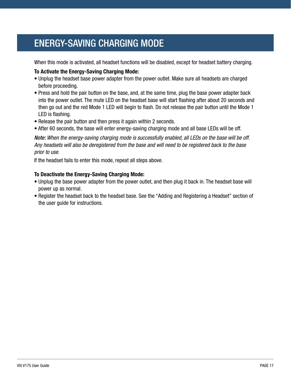# <span id="page-16-0"></span>ENERGY-SAVING CHARGING MODE

When this mode is activated, all headset functions will be disabled, except for headset battery charging.

#### **To Activate the Energy-Saving Charging Mode:**

- Unplug the headset base power adapter from the power outlet. Make sure all headsets are charged before proceeding.
- Press and hold the pair button on the base, and, at the same time, plug the base power adapter back into the power outlet. The mute LED on the headset base will start flashing after about 20 seconds and then go out and the red Mode 1 LED will begin to flash. Do not release the pair button until the Mode 1 LED is flashing.
- Release the pair button and then press it again within 2 seconds.
- After 60 seconds, the base will enter energy-saving charging mode and all base LEDs will be off.

*Note: When the energy-saving charging mode is successfully enabled, all LEDs on the base will be off. Any headsets will also be deregistered from the base and will need to be registered back to the base prior to use.*

If the headset fails to enter this mode, repeat all steps above.

#### **To Deactivate the Energy-Saving Charging Mode:**

- Unplug the base power adapter from the power outlet, and then plug it back in. The headset base will power up as normal.
- Register the headset back to the headset base. See the "Adding and Registering a Headset" section of the user guide for instructions.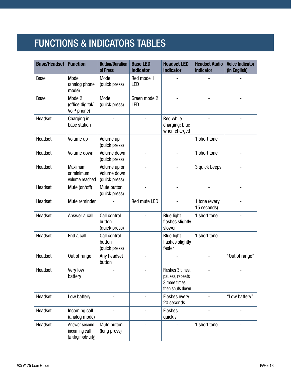# <span id="page-17-0"></span>FUNCTIONS & INDICATORS TABLES

| <b>Base/Headset</b> | <b>Function</b>                                      | <b>Button/Duration</b><br>of Press           | <b>Base LED</b><br><b>Indicator</b> | <b>Headset LED</b><br><b>Indicator</b>                                  | <b>Headset Audio</b><br><b>Indicator</b> | <b>Voice Indicator</b><br>(in English) |
|---------------------|------------------------------------------------------|----------------------------------------------|-------------------------------------|-------------------------------------------------------------------------|------------------------------------------|----------------------------------------|
| Base                | Mode 1<br>(analog phone<br>mode)                     | Mode<br>(quick press)                        | Red mode 1<br><b>LED</b>            |                                                                         |                                          |                                        |
| Base                | Mode 2<br>(office digital/<br>VolP phone)            | Mode<br>(quick press)                        | Green mode 2<br>LED                 |                                                                         |                                          |                                        |
| Headset             | Charging in<br>base station                          |                                              |                                     | Red while<br>charging; blue<br>when charged                             |                                          |                                        |
| Headset             | Volume up                                            | Volume up<br>(quick press)                   |                                     |                                                                         | 1 short tone                             |                                        |
| Headset             | Volume down                                          | Volume down<br>(quick press)                 |                                     |                                                                         | 1 short tone                             |                                        |
| Headset             | Maximum<br>or minimum<br>volume reached              | Volume up or<br>Volume down<br>(quick press) |                                     |                                                                         | 3 quick beeps                            |                                        |
| Headset             | Mute (on/off)                                        | Mute button<br>(quick press)                 |                                     |                                                                         |                                          |                                        |
| Headset             | Mute reminder                                        |                                              | Red mute LED                        |                                                                         | 1 tone (every<br>15 seconds)             |                                        |
| Headset             | Answer a call                                        | Call control<br>button<br>(quick press)      |                                     | <b>Blue light</b><br>flashes slightly<br>slower                         | 1 short tone                             |                                        |
| Headset             | End a call                                           | Call control<br>button<br>(quick press)      |                                     | <b>Blue light</b><br>flashes slightly<br>faster                         | 1 short tone                             |                                        |
| Headset             | Out of range                                         | Any headset<br>button                        |                                     |                                                                         |                                          | "Out of range"                         |
| Headset             | Very low<br>battery                                  |                                              |                                     | Flashes 3 times,<br>pauses, repeats<br>3 more times,<br>then shuts down |                                          |                                        |
| Headset             | Low battery                                          |                                              |                                     | Flashes every<br>20 seconds                                             |                                          | "Low battery"                          |
| Headset             | Incoming call<br>(analog mode)                       |                                              |                                     | <b>Flashes</b><br>quickly                                               |                                          |                                        |
| Headset             | Answer second<br>incoming call<br>(analog mode only) | Mute button<br>(long press)                  |                                     |                                                                         | 1 short tone                             |                                        |